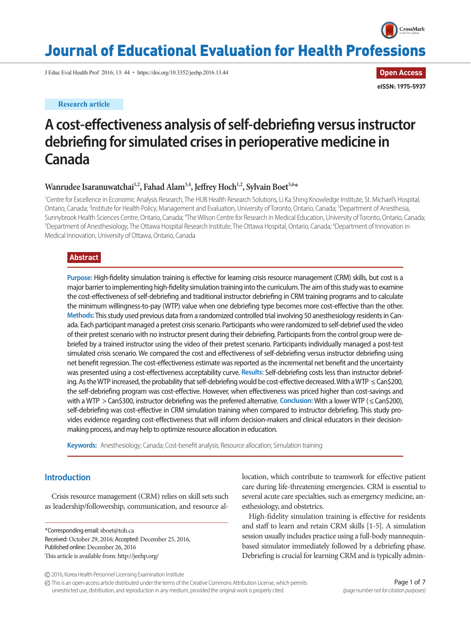

# Journal of Educational Evaluation for Health Professions

J Educ Eval Health Prof 2016; 13: 44 • https://doi.org/10.3352/jeehp.2016.13.44

**Research article**

**Open Access eISSN: 1975-5937**

# **A cost-effectiveness analysis of self-debriefing versus instructor debriefing for simulated crises in perioperative medicine in Canada**

# Wanrudee Isaranuwatchai<sup>1,2</sup>, Fahad Alam<sup>3,4</sup>, Jeffrey Hoch<sup>1,2</sup>, Sylvain Boet<sup>5,6\*</sup>

<sup>1</sup>Centre for Excellence in Economic Analysis Research, The HUB Health Research Solutions, Li Ka Shing Knowledge Institute, St. Michael's Hospital, Ontario, Canada; <sup>2</sup>Institute for Health Policy, Management and Evaluation, University of Toronto, Ontario, Canada; <sup>3</sup>Department of Anesthesia, Sunnybrook Health Sciences Centre, Ontario, Canada; <sup>4</sup>The Wilson Centre for Research in Medical Education, University of Toronto, Ontario, Canada;<br><sup>5</sup>Denartment of Anesthesiology The Ottawa Hospital Research Institute The Department of Anesthesiology, The Ottawa Hospital Research Institute, The Ottawa Hospital, Ontario, Canada; <sup>6</sup>Department of Innovation in Medical Innovation, University of Ottawa, Ontario, Canada

# **Abstract**

**Purpose:** High-fidelity simulation training is effective for learning crisis resource management (CRM) skills, but cost is a major barrier to implementing high-fidelity simulation training into the curriculum. The aim of this study was to examine the cost-effectiveness of self-debriefing and traditional instructor debriefing in CRM training programs and to calculate the minimum willingness-to-pay (WTP) value when one debriefing type becomes more cost-effective than the other. **Methods:** This study used previous data from a randomized controlled trial involving 50 anesthesiology residents in Canada. Each participant managed a pretest crisis scenario. Participants who were randomized to self-debrief used the video of their pretest scenario with no instructor present during their debriefing. Participants from the control group were debriefed by a trained instructor using the video of their pretest scenario. Participants individually managed a post-test simulated crisis scenario. We compared the cost and effectiveness of self-debriefing versus instructor debriefing using net benefit regression. The cost-effectiveness estimate was reported as the incremental net benefit and the uncertainty was presented using a cost-effectiveness acceptability curve. **Results:** Self-debriefing costs less than instructor debriefing. As the WTP increased, the probability that self-debriefing would be cost-effective decreased. With a WTP ≤ Can\$200, the self-debriefing program was cost-effective. However, when effectiveness was priced higher than cost-savings and with a WTP > Can\$300, instructor debriefing was the preferred alternative. **Conclusion: With a lower WTP** (≤ Can\$200), self-debriefing was cost-effective in CRM simulation training when compared to instructor debriefing. This study provides evidence regarding cost-effectiveness that will inform decision-makers and clinical educators in their decisionmaking process, and may help to optimize resource allocation in education.

**Keywords:** Anesthesiology; Canada; Cost-benefit analysis; Resource allocation; Simulation training

# **Introduction**

Crisis resource management (CRM) relies on skill sets such as leadership/followership, communication, and resource al-

\*Corresponding email: sboet@toh.ca Received: October 29, 2016; Accepted: December 25, 2016, Published online: December 26, 2016 This article is available from: http://jeehp.org/

location, which contribute to teamwork for effective patient care during life-threatening emergencies. CRM is essential to several acute care specialties, such as emergency medicine, anesthesiology, and obstetrics.

High-fidelity simulation training is effective for residents and staff to learn and retain CRM skills [1-5]. A simulation session usually includes practice using a full-body mannequinbased simulator immediately followed by a debriefing phase. Debriefing is crucial for learning CRM and is typically admin-

2016, Korea Health Personnel Licensing Examination Institute

This is an open-access article distributed under the terms of the Creative Commons Attribution License, which permits unrestricted use, distribution, and reproduction in any medium, provided the original work is properly cited.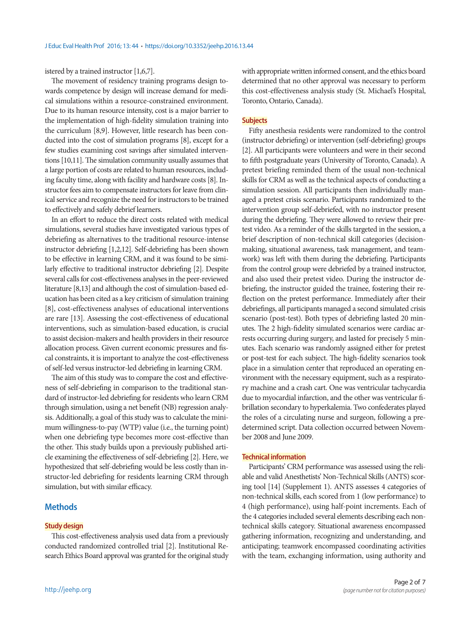istered by a trained instructor [1,6,7].

The movement of residency training programs design towards competence by design will increase demand for medical simulations within a resource-constrained environment. Due to its human resource intensity, cost is a major barrier to the implementation of high-fidelity simulation training into the curriculum [8,9]. However, little research has been conducted into the cost of simulation programs [8], except for a few studies examining cost savings after simulated interventions [10,11]. The simulation community usually assumes that a large portion of costs are related to human resources, including faculty time, along with facility and hardware costs [8]. Instructor fees aim to compensate instructors for leave from clinical service and recognize the need for instructors to be trained to effectively and safely debrief learners.

In an effort to reduce the direct costs related with medical simulations, several studies have investigated various types of debriefing as alternatives to the traditional resource-intense instructor debriefing [1,2,12]. Self-debriefing has been shown to be effective in learning CRM, and it was found to be similarly effective to traditional instructor debriefing [2]. Despite several calls for cost-effectiveness analyses in the peer-reviewed literature [8,13] and although the cost of simulation-based education has been cited as a key criticism of simulation training [8], cost-effectiveness analyses of educational interventions are rare [13]. Assessing the cost-effectiveness of educational interventions, such as simulation-based education, is crucial to assist decision-makers and health providers in their resource allocation process. Given current economic pressures and fiscal constraints, it is important to analyze the cost-effectiveness of self-led versus instructor-led debriefing in learning CRM.

The aim of this study was to compare the cost and effectiveness of self-debriefing in comparison to the traditional standard of instructor-led debriefing for residents who learn CRM through simulation, using a net benefit (NB) regression analysis. Additionally, a goal of this study was to calculate the minimum willingness-to-pay (WTP) value (i.e., the turning point) when one debriefing type becomes more cost-effective than the other. This study builds upon a previously published article examining the effectiveness of self-debriefing [2]. Here, we hypothesized that self-debriefing would be less costly than instructor-led debriefing for residents learning CRM through simulation, but with similar efficacy.

# **Methods**

#### **Study design**

This cost-effectiveness analysis used data from a previously conducted randomized controlled trial [2]. Institutional Research Ethics Board approval was granted for the original study with appropriate written informed consent, and the ethics board determined that no other approval was necessary to perform this cost-effectiveness analysis study (St. Michael's Hospital, Toronto, Ontario, Canada).

#### **Subjects**

Fifty anesthesia residents were randomized to the control (instructor debriefing) or intervention (self-debriefing) groups [2]. All participants were volunteers and were in their second to fifth postgraduate years (University of Toronto, Canada). A pretest briefing reminded them of the usual non-technical skills for CRM as well as the technical aspects of conducting a simulation session. All participants then individually managed a pretest crisis scenario. Participants randomized to the intervention group self-debriefed, with no instructor present during the debriefing. They were allowed to review their pretest video. As a reminder of the skills targeted in the session, a brief description of non-technical skill categories (decisionmaking, situational awareness, task management, and teamwork) was left with them during the debriefing. Participants from the control group were debriefed by a trained instructor, and also used their pretest video. During the instructor debriefing, the instructor guided the trainee, fostering their reflection on the pretest performance. Immediately after their debriefings, all participants managed a second simulated crisis scenario (post-test). Both types of debriefing lasted 20 minutes. The 2 high-fidelity simulated scenarios were cardiac arrests occurring during surgery, and lasted for precisely 5 minutes. Each scenario was randomly assigned either for pretest or post-test for each subject. The high-fidelity scenarios took place in a simulation center that reproduced an operating environment with the necessary equipment, such as a respiratory machine and a crash cart. One was ventricular tachycardia due to myocardial infarction, and the other was ventricular fibrillation secondary to hyperkalemia. Two confederates played the roles of a circulating nurse and surgeon, following a predetermined script. Data collection occurred between November 2008 and June 2009.

### **Technical information**

Participants' CRM performance was assessed using the reliable and valid Anesthetists' Non-Technical Skills (ANTS) scoring tool [14] (Supplement 1). ANTS assesses 4 categories of non-technical skills, each scored from 1 (low performance) to 4 (high performance), using half-point increments. Each of the 4 categories included several elements describing each nontechnical skills category. Situational awareness encompassed gathering information, recognizing and understanding, and anticipating; teamwork encompassed coordinating activities with the team, exchanging information, using authority and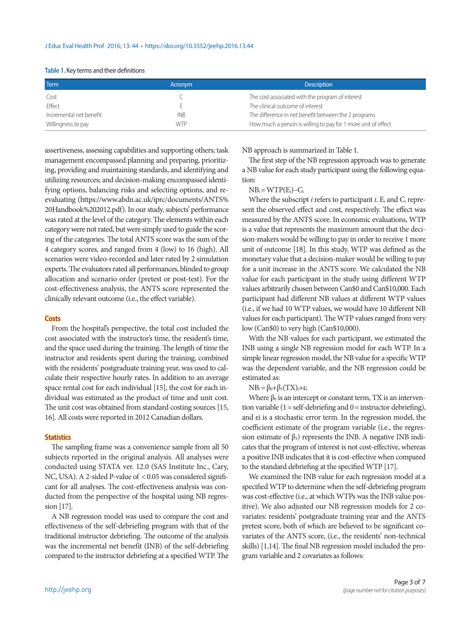| Term                    | Acronym    | <b>Description</b>                                            |
|-------------------------|------------|---------------------------------------------------------------|
| Cost                    |            | The cost associated with the program of interest              |
| <b>Fffect</b>           |            | The clinical outcome of interest                              |
| Incremental net benefit | <b>INB</b> | The difference in net benefit between the 2 programs          |
| Willingness to pay      | <b>WTP</b> | How much a person is willing to pay for 1 more unit of effect |

#### **Table 1.** Key terms and their definitions

assertiveness, assessing capabilities and supporting others; task management encompassed planning and preparing, prioritizing, providing and maintaining standards, and identifying and utilizing resources; and decision-making encompassed identifying options, balancing risks and selecting options, and reevaluating (https://www.abdn.ac.uk/iprc/documents/ANTS% 20Handbook%202012.pdf). In our study, subjects' performance was rated at the level of the category. The elements within each category were not rated, but were simply used to guide the scoring of the categories. The total ANTS score was the sum of the 4 category scores, and ranged from 4 (low) to 16 (high). All scenarios were video-recorded and later rated by 2 simulation experts. The evaluators rated all performances, blinded to group allocation and scenario order (pretest or post-test). For the cost-effectiveness analysis, the ANTS score represented the clinically relevant outcome (i.e., the effect variable).

#### **Costs**

From the hospital's perspective, the total cost included the cost associated with the instructor's time, the resident's time, and the space used during the training. The length of time the instructor and residents spent during the training, combined with the residents' postgraduate training year, was used to calculate their respective hourly rates. In addition to an average space rental cost for each individual [15], the cost for each individual was estimated as the product of time and unit cost. The unit cost was obtained from standard costing sources [15, 16]. All costs were reported in 2012 Canadian dollars.

#### **Statistics**

The sampling frame was a convenience sample from all 50 subjects reported in the original analysis. All analyses were conducted using STATA ver. 12.0 (SAS Institute Inc., Cary, NC, USA). A 2-sided P-value of < 0.05 was considered significant for all analyses. The cost-effectiveness analysis was conducted from the perspective of the hospital using NB regression [17].

A NB regression model was used to compare the cost and effectiveness of the self-debriefing program with that of the traditional instructor debriefing. The outcome of the analysis was the incremental net benefit (INB) of the self-debriefing compared to the instructor debriefing at a specified WTP. The NB approach is summarized in Table 1.

The first step of the NB regression approach was to generate a NB value for each study participant using the following equation:

## $NB<sub>i</sub> = WTP(E<sub>i</sub>) - C<sub>i</sub>$

Where the subscript *i* refers to participant *i*. E<sub>i</sub> and C<sub>i</sub> represent the observed effect and cost, respectively. The effect was measured by the ANTS score. In economic evaluations, WTP is a value that represents the maximum amount that the decision-makers would be willing to pay in order to receive 1 more unit of outcome [18]. In this study, WTP was defined as the monetary value that a decision-maker would be willing to pay for a unit increase in the ANTS score. We calculated the NB value for each participant in the study using different WTP values arbitrarily chosen between Can\$0 and Can\$10,000. Each participant had different NB values at different WTP values (i.e., if we had 10 WTP values, we would have 10 different NB values for each participant). The WTP values ranged from very low (Can\$0) to very high (Can\$10,000).

With the NB values for each participant, we estimated the INB using a single NB regression model for each WTP. In a simple linear regression model, the NB value for a specific WTP was the dependent variable, and the NB regression could be estimated as:

#### $NB_i = \beta_0 + \beta_1(TX_i) + \varepsilon_i$

Where  $\beta_0$  is an intercept or constant term, TX is an intervention variable  $(1 = self-debriefing and 0 = instructor debriefing),$ and εi is a stochastic error term. In the regression model, the coefficient estimate of the program variable (i.e., the regression estimate of  $\beta_1$ ) represents the INB. A negative INB indicates that the program of interest is not cost-effective, whereas a positive INB indicates that it is cost-effective when compared to the standard debriefing at the specified WTP [17].

We examined the INB value for each regression model at a specified WTP to determine when the self-debriefing program was cost-effective (i.e., at which WTPs was the INB value positive). We also adjusted our NB regression models for 2 covariates: residents' postgraduate training year and the ANTS pretest score, both of which are believed to be significant covariates of the ANTS score, (i.e., the residents' non-technical skills) [1,14]. The final NB regression model included the program variable and 2 covariates as follows: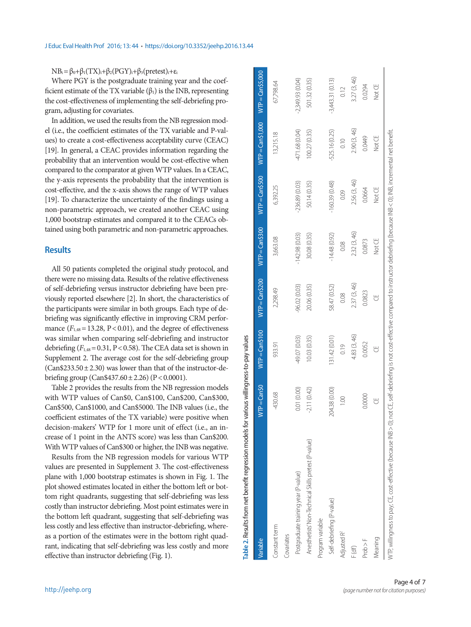# $NB_i = \beta_0 + \beta_1(TX)_i + \beta_2(PGY)_i + \beta_3(pretest)_i + \epsilon_i$

Where PGY is the postgraduate training year and the coefficient estimate of the TX variable  $(\beta_1)$  is the INB, representing the cost-effectiveness of implementing the self-debriefing program, adjusting for covariates.

In addition, we used the results from the NB regression model (i.e., the coefficient estimates of the TX variable and P-values) to create a cost-effectiveness acceptability curve (CEAC) [19]. In general, a CEAC provides information regarding the probability that an intervention would be cost-effective when compared to the comparator at given WTP values. In a CEAC, the y-axis represents the probability that the intervention is cost-effective, and the x-axis shows the range of WTP values [19]. To characterize the uncertainty of the findings using a non-parametric approach, we created another CEAC using 1,000 bootstrap estimates and compared it to the CEACs obtained using both parametric and non-parametric approaches.

## **Results**

All 50 patients completed the original study protocol, and there were no missing data. Results of the relative effectiveness of self-debriefing versus instructor debriefing have been previously reported elsewhere [2]. In short, the characteristics of the participants were similar in both groups. Each type of debriefing was significantly effective in improving CRM performance  $(F<sub>1,48</sub> = 13.28, P < 0.01)$ , and the degree of effectiveness was similar when comparing self-debriefing and instructor debriefing  $(F_{1,48} = 0.31, P < 0.58)$ . The CEA data set is shown in Supplement 2. The average cost for the self-debriefing group  $(Can $233.50 \pm 2.30)$  was lower than that of the instructor-debriefing group (Can\$437.60± 2.26) (P< 0.0001).

Table 2 provides the results from the NB regression models with WTP values of Can\$0, Can\$100, Can\$200, Can\$300, Can\$500, Can\$1000, and Can\$5000. The INB values (i.e., the coefficient estimates of the TX variable) were positive when decision-makers' WTP for 1 more unit of effect (i.e., an increase of 1 point in the ANTS score) was less than Can\$200. With WTP values of Can\$300 or higher, the INB was negative.

Results from the NB regression models for various WTP values are presented in Supplement 3. The cost-effectiveness plane with 1,000 bootstrap estimates is shown in Fig. 1. The plot showed estimates located in either the bottom left or bottom right quadrants, suggesting that self-debriefing was less costly than instructor debriefing. Most point estimates were in the bottom left quadrant, suggesting that self-debriefing was less costly and less effective than instructor-debriefing, whereas a portion of the estimates were in the bottom right quadrant, indicating that self-debriefing was less costly and more effective than instructor debriefing (Fig. 1).

| Table 2. Results from net benefit regression models for                                                                                                                                         | various willingness-to-pay values |                 |                 |                 |                 |                    |                   |
|-------------------------------------------------------------------------------------------------------------------------------------------------------------------------------------------------|-----------------------------------|-----------------|-----------------|-----------------|-----------------|--------------------|-------------------|
| Variable                                                                                                                                                                                        | $WTP = Can50$                     | $WTP = Can5100$ | $WTP = Can5200$ | $WTP = Can5300$ | $WTP = Can5500$ | $WTP = Can $1,000$ | $WTP = Can55,000$ |
| Constant term                                                                                                                                                                                   | 430.68                            | 933.91          | 2,298.49        | 3,663.08        | 6,392.25        | 13,215.18          | 67,798.64         |
| Covariates                                                                                                                                                                                      |                                   |                 |                 |                 |                 |                    |                   |
| Postgraduate training year (P-value)                                                                                                                                                            | 0.01 (0.00)                       | 49.07 (0.03)    | 96.02 (0.03)    | $-142.98(0.03)$ | $-236.89(0.03)$ | 471.68 (0.04)      | 2,349.93 (0.04)   |
| Anesthetists' Non-Technical Skills pretest (P-value)                                                                                                                                            | 2.11(0.42)                        | 10.03 (0.35)    | 20.06 (0.35)    | 30.08 (0.35)    | 50.14 (0.35)    | 100.27(0.35)       | 501.32 (0.35)     |
| Program variable                                                                                                                                                                                |                                   |                 |                 |                 |                 |                    |                   |
| Self-debriefing (P-value)                                                                                                                                                                       | 204.38 (0.00)                     | (10.01) 44.     | 58.47 (0.52)    | $-14.48(0.92)$  | $-160.39(0.48)$ | $-525.16(0.25)$    | $-3,443.31(0.13)$ |
| Adjusted R <sup>2</sup>                                                                                                                                                                         | $\frac{100}{2}$                   | 0.19            | 0.08            | 0.08            | 0.09            | 0.10               | 0.12              |
| F (df)                                                                                                                                                                                          |                                   | 4.83 (3, 46)    | 2.37 (3, 46)    | 2.32 (3, 46)    | 2.56 (3, 46)    | 2.90 (3, 46)       | 3.27 (3, 46)      |
| Proof F                                                                                                                                                                                         | 0.0000                            | 0.0052          | 0.0823          | 0.0873          | 0.0664          | 0.0449             | 0.0294            |
| Meaning                                                                                                                                                                                         | ₩                                 | ₩               | ₩               | Not CE          | Not CE          | Not CE             | Not CE            |
| WTF, willingness to pay; CE, cost-effective (because INB > 0); not CE, self-debriefing is not cost-effective compared to instructor debriefing (because INB < 0); INB, incremental net benefit. |                                   |                 |                 |                 |                 |                    |                   |

Table 2. Results from net benefit regression models for various willingness-to-pay values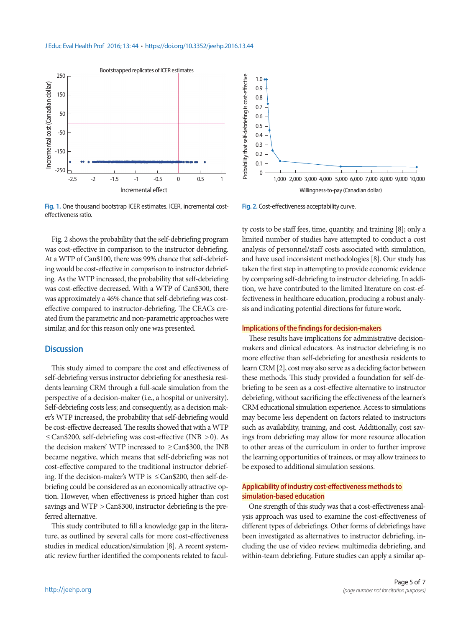

**Fig. 1.** One thousand bootstrap ICER estimates. ICER, incremental costeffectiveness ratio.

Fig. 2 shows the probability that the self-debriefing program was cost-effective in comparison to the instructor debriefing. At a WTP of Can\$100, there was 99% chance that self-debriefing would be cost-effective in comparison to instructor debriefing. As the WTP increased, the probability that self-debriefing was cost-effective decreased. With a WTP of Can\$300, there was approximately a 46% chance that self-debriefing was costeffective compared to instructor-debriefing. The CEACs created from the parametric and non-parametric approaches were similar, and for this reason only one was presented.

## **Discussion**

This study aimed to compare the cost and effectiveness of self-debriefing versus instructor debriefing for anesthesia residents learning CRM through a full-scale simulation from the perspective of a decision-maker (i.e., a hospital or university). Self-debriefing costs less; and consequently, as a decision maker's WTP increased, the probability that self-debriefing would be cost-effective decreased. The results showed that with a WTP ≤ Can\$200, self-debriefing was cost-effective (INB > 0). As the decision makers' WTP increased to  $\geq$  Can\$300, the INB became negative, which means that self-debriefing was not cost-effective compared to the traditional instructor debriefing. If the decision-maker's WTP is  $\leq$  Can\$200, then self-debriefing could be considered as an economically attractive option. However, when effectiveness is priced higher than cost savings and WTP > Can\$300, instructor debriefing is the preferred alternative.

This study contributed to fill a knowledge gap in the literature, as outlined by several calls for more cost-effectiveness studies in medical education/simulation [8]. A recent systematic review further identified the components related to facul-



**Fig. 2.** Cost-effectiveness acceptability curve.

ty costs to be staff fees, time, quantity, and training [8]; only a limited number of studies have attempted to conduct a cost analysis of personnel/staff costs associated with simulation, and have used inconsistent methodologies [8]. Our study has taken the first step in attempting to provide economic evidence by comparing self-debriefing to instructor debriefing. In addition, we have contributed to the limited literature on cost-effectiveness in healthcare education, producing a robust analysis and indicating potential directions for future work.

## **Implications of the findings for decision-makers**

These results have implications for administrative decisionmakers and clinical educators. As instructor debriefing is no more effective than self-debriefing for anesthesia residents to learn CRM [2], cost may also serve as a deciding factor between these methods. This study provided a foundation for self-debriefing to be seen as a cost-effective alternative to instructor debriefing, without sacrificing the effectiveness of the learner's CRM educational simulation experience. Access to simulations may become less dependent on factors related to instructors such as availability, training, and cost. Additionally, cost savings from debriefing may allow for more resource allocation to other areas of the curriculum in order to further improve the learning opportunities of trainees, or may allow trainees to be exposed to additional simulation sessions.

## **Applicability of industry cost-effectiveness methods to simulation-based education**

One strength of this study was that a cost-effectiveness analysis approach was used to examine the cost-effectiveness of different types of debriefings. Other forms of debriefings have been investigated as alternatives to instructor debriefing, including the use of video review, multimedia debriefing, and within-team debriefing. Future studies can apply a similar ap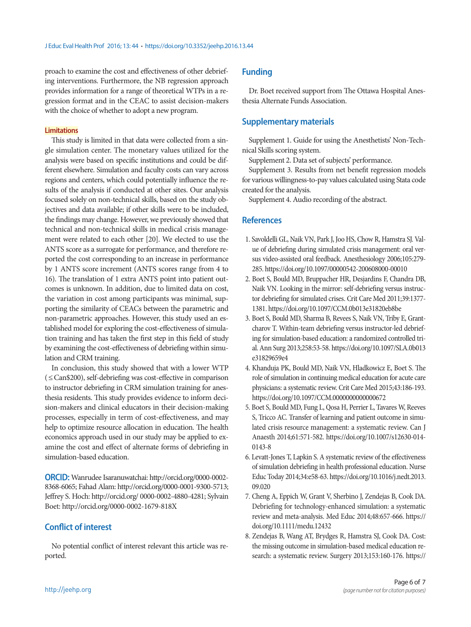proach to examine the cost and effectiveness of other debriefing interventions. Furthermore, the NB regression approach provides information for a range of theoretical WTPs in a regression format and in the CEAC to assist decision-makers with the choice of whether to adopt a new program.

## **Limitations**

This study is limited in that data were collected from a single simulation center. The monetary values utilized for the analysis were based on specific institutions and could be different elsewhere. Simulation and faculty costs can vary across regions and centers, which could potentially influence the results of the analysis if conducted at other sites. Our analysis focused solely on non-technical skills, based on the study objectives and data available; if other skills were to be included, the findings may change. However, we previously showed that technical and non-technical skills in medical crisis management were related to each other [20]. We elected to use the ANTS score as a surrogate for performance, and therefore reported the cost corresponding to an increase in performance by 1 ANTS score increment (ANTS scores range from 4 to 16). The translation of 1 extra ANTS point into patient outcomes is unknown. In addition, due to limited data on cost, the variation in cost among participants was minimal, supporting the similarity of CEACs between the parametric and non-parametric approaches. However, this study used an established model for exploring the cost-effectiveness of simulation training and has taken the first step in this field of study by examining the cost-effectiveness of debriefing within simulation and CRM training.

In conclusion, this study showed that with a lower WTP (≤ Can\$200), self-debriefing was cost-effective in comparison to instructor debriefing in CRM simulation training for anesthesia residents. This study provides evidence to inform decision-makers and clinical educators in their decision-making processes, especially in term of cost-effectiveness, and may help to optimize resource allocation in education. The health economics approach used in our study may be applied to examine the cost and effect of alternate forms of debriefing in simulation-based education.

**ORCID:** Wanrudee Isaranuwatchai: http://orcid.org/0000-0002- 8368-6065; Fahad Alam: http://orcid.org/0000-0001-9300-5713; Jeffrey S. Hoch: http://orcid.org/ 0000-0002-4880-4281; Sylvain Boet: http://orcid.org/0000-0002-1679-818X

# **Conflict of interest**

No potential conflict of interest relevant this article was reported.

# **Funding**

Dr. Boet received support from The Ottawa Hospital Anesthesia Alternate Funds Association.

# **Supplementary materials**

Supplement 1. Guide for using the Anesthetists' Non-Technical Skills scoring system.

Supplement 2. Data set of subjects' performance.

Supplement 3. Results from net benefit regression models for various willingness-to-pay values calculated using Stata code created for the analysis.

Supplement 4. Audio recording of the abstract.

## **References**

- 1. Savoldelli GL, Naik VN, Park J, Joo HS, Chow R, Hamstra SJ. Value of debriefing during simulated crisis management: oral versus video-assisted oral feedback. Anesthesiology 2006;105:279- 285. https://doi.org/10.1097/00000542-200608000-00010
- 2. Boet S, Bould MD, Bruppacher HR, Desjardins F, Chandra DB, Naik VN. Looking in the mirror: self-debriefing versus instructor debriefing for simulated crises. Crit Care Med 2011;39:1377- 1381. https://doi.org/10.1097/CCM.0b013e31820eb8be
- 3. Boet S, Bould MD, Sharma B, Revees S, Naik VN, Triby E, Grantcharov T. Within-team debriefing versus instructor-led debriefing for simulation-based education: a randomized controlled trial. Ann Surg 2013;258:53-58. [https://doi.org/10.1097/SLA.0b013](https://doi.org/10.1097/SLA.0b013e31829659e4)  [e31829659e4](https://doi.org/10.1097/SLA.0b013e31829659e4)
- 4. Khanduja PK, Bould MD, Naik VN, Hladkowicz E, Boet S. The role of simulation in continuing medical education for acute care physicians: a systematic review. Crit Care Med 2015;43:186-193. https://doi.org/10.1097/CCM.0000000000000672
- 5. Boet S, Bould MD, Fung L, Qosa H, Perrier L, Tavares W, Reeves S, Tricco AC. Transfer of learning and patient outcome in simulated crisis resource management: a systematic review. Can J Anaesth 2014;61:571-582. [https://doi.org/10.1007/s12630-014-](https://doi.org/10.1007/s12630-014-0143-8) [0143-8](https://doi.org/10.1007/s12630-014-0143-8)
- 6. Levatt-Jones T, Lapkin S. A systematic review of the effectiveness of simulation debriefing in health professional education. Nurse Educ Today 2014;34:e58-63. [https://doi.org/10.1016/j.nedt.2013.](https://doi.org/10.1016/j.nedt.2013.09.020)  [09.020](https://doi.org/10.1016/j.nedt.2013.09.020)
- 7. Cheng A, Eppich W, Grant V, Sherbino J, Zendejas B, Cook DA. Debriefing for technology-enhanced simulation: a systematic review and meta-analysis. Med Educ 2014;48:657-666. [https://](https://doi.org/10.1111/medu.12432) [doi.org/10.1111/medu.12432](https://doi.org/10.1111/medu.12432)
- 8. Zendejas B, Wang AT, Brydges R, Hamstra SJ, Cook DA. Cost: the missing outcome in simulation-based medical education research: a systematic review. Surgery 2013;153:160-176. [https://](https://doi.org/10.1016/j.surg.2012.06.025)